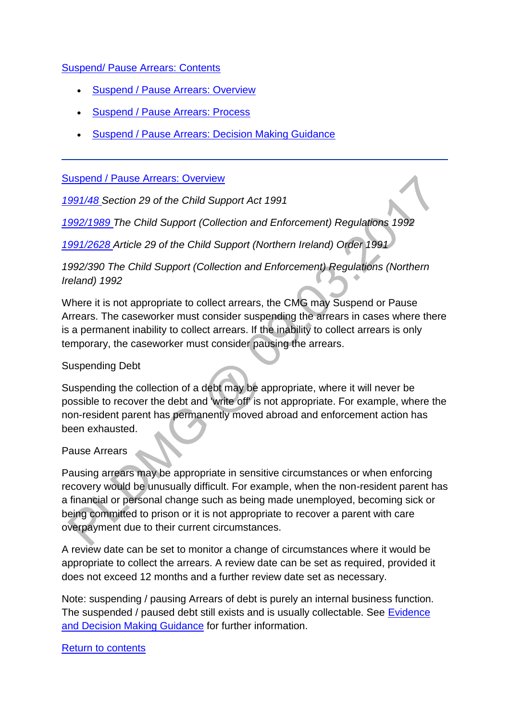### [Suspend/ Pause Arrears: Contents](http://np-cmg-sharepoint.link2.gpn.gov.uk/sites/policy-law-and-decision-making-guidance/Pages/Suspending%20Debt/Suspending-Debt.aspx)

- [Suspend / Pause Arrears: Overview](http://np-cmg-sharepoint.link2.gpn.gov.uk/sites/policy-law-and-decision-making-guidance/Pages/Suspending%20Debt/Suspending-Debt.aspx#Suspend%20/%20Pause%20Arrears%3a%20Overview)
- [Suspend / Pause Arrears: Process](http://np-cmg-sharepoint.link2.gpn.gov.uk/sites/policy-law-and-decision-making-guidance/Pages/Suspending%20Debt/Suspending-Debt.aspx#Suspend%20/%20Pause%20Arrears%3a%20Process)
- [Suspend / Pause Arrears: Decision Making Guidance](http://np-cmg-sharepoint.link2.gpn.gov.uk/sites/policy-law-and-decision-making-guidance/Pages/Suspending%20Debt/Suspending-Debt.aspx#Suspend%20/%20Pause%20Arrears%3a%20Decision%20Making%20Guidance%20)

### [Suspend / Pause Arrears: Overview](http://np-cmg-sharepoint.link2.gpn.gov.uk/sites/policy-law-and-decision-making-guidance/Pages/Suspending%20Debt/Suspending-Debt.aspx?ControlMode=Edit&DisplayMode=Design)

*[1991/48 S](http://www.legislation.gov.uk/ukpga/1991/48)ection 29 of the Child Support Act 1991*

*[1992/1989 T](http://www.legislation.gov.uk/uksi/1992/1989)he Child Support (Collection and Enforcement) Regulations 1992*

*[1991/2628 A](http://www.legislation.gov.uk/nisi/1991/2628/contents)rticle 29 of the Child Support (Northern Ireland) Order 1991*

*1992/390 The Child Support (Collection and Enforcement) Regulations (Northern Ireland) 1992*

Where it is not appropriate to collect arrears, the CMG may Suspend or Pause Arrears. The caseworker must consider suspending the arrears in cases where there is a permanent inability to collect arrears. If the inability to collect arrears is only temporary, the caseworker must consider pausing the arrears.

### Suspending Debt

Suspending the collection of a debt may be appropriate, where it will never be possible to recover the debt and 'write off' is not appropriate. For example, where the non-resident parent has permanently moved abroad and enforcement action has been exhausted.

## Pause Arrears

Pausing arrears may be appropriate in sensitive circumstances or when enforcing recovery would be unusually difficult. For example, when the non-resident parent has a financial or personal change such as being made unemployed, becoming sick or being committed to prison or it is not appropriate to recover a parent with care overpayment due to their current circumstances.

A review date can be set to monitor a change of circumstances where it would be appropriate to collect the arrears. A review date can be set as required, provided it does not exceed 12 months and a further review date set as necessary.

Note: suspending / pausing Arrears of debt is purely an internal business function. The suspended / paused debt still exists and is usually collectable. See [Evidence](http://np-cmg-sharepoint.link2.gpn.gov.uk/sites/policy-law-and-decision-making-guidance/Pages/Evidence%20and%20decision%20making/Evidence-and-decision-making.aspx)  [and Decision Making Guidance](http://np-cmg-sharepoint.link2.gpn.gov.uk/sites/policy-law-and-decision-making-guidance/Pages/Evidence%20and%20decision%20making/Evidence-and-decision-making.aspx) for further information.

#### [Return to contents](http://np-cmg-sharepoint.link2.gpn.gov.uk/sites/policy-law-and-decision-making-guidance/Pages/Suspending%20Debt/Suspending-Debt.aspx#Suspend/Puse%20Arrears%3a%20Contents)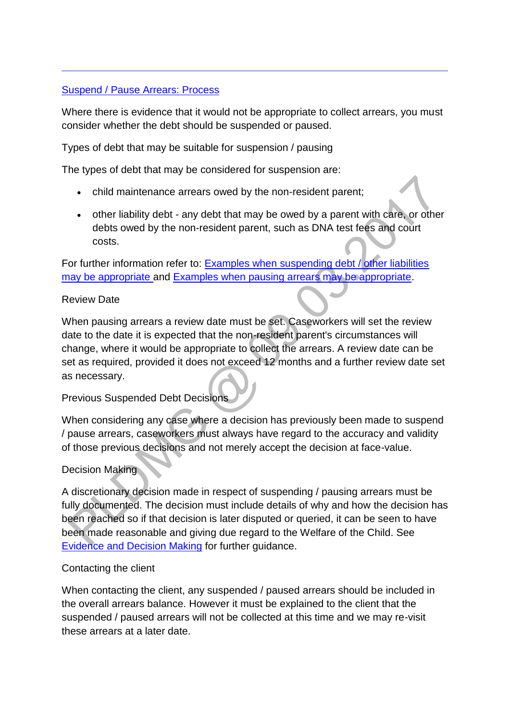## [Suspend / Pause Arrears: Process](http://np-cmg-sharepoint.link2.gpn.gov.uk/sites/policy-law-and-decision-making-guidance/Pages/Suspending%20Debt/Suspending-Debt.aspx?ControlMode=Edit&DisplayMode=Design)

Where there is evidence that it would not be appropriate to collect arrears, you must consider whether the debt should be suspended or paused.

Types of debt that may be suitable for suspension / pausing

The types of debt that may be considered for suspension are:

- child maintenance arrears owed by the non-resident parent;
- other liability debt any debt that may be owed by a parent with care, or other debts owed by the non-resident parent, such as DNA test fees and court costs.

For further information refer to: [Examples when suspending debt / other liabilities](http://np-cmg-sharepoint.link2.gpn.gov.uk/sites/policy-law-and-decision-making-guidance/Pages/Suspending%20Debt/Suspending-Debt.aspx#examples)  [may be appropriate a](http://np-cmg-sharepoint.link2.gpn.gov.uk/sites/policy-law-and-decision-making-guidance/Pages/Suspending%20Debt/Suspending-Debt.aspx#examples)nd [Examples when pausing arrears may be appropriate.](http://np-cmg-sharepoint.link2.gpn.gov.uk/sites/policy-law-and-decision-making-guidance/Pages/Suspending%20Debt/Suspending-Debt.aspx#Pausing)

### Review Date

When pausing arrears a review date must be set. Caseworkers will set the review date to the date it is expected that the non-resident parent's circumstances will change, where it would be appropriate to collect the arrears. A review date can be set as required, provided it does not exceed 12 months and a further review date set as necessary.

## Previous Suspended Debt Decisions

When considering any case where a decision has previously been made to suspend / pause arrears, caseworkers must always have regard to the accuracy and validity of those previous decisions and not merely accept the decision at face-value.

## Decision Making

A discretionary decision made in respect of suspending / pausing arrears must be fully documented. The decision must include details of why and how the decision has been reached so if that decision is later disputed or queried, it can be seen to have been made reasonable and giving due regard to the Welfare of the Child. See [Evidence and Decision Making](http://np-cmg-sharepoint.link2.gpn.gov.uk/sites/policy-law-and-decision-making-guidance/Pages/Evidence%20and%20decision%20making/Evidence-and-decision-making.aspx) for further guidance.

#### Contacting the client

When contacting the client, any suspended / paused arrears should be included in the overall arrears balance. However it must be explained to the client that the suspended / paused arrears will not be collected at this time and we may re-visit these arrears at a later date.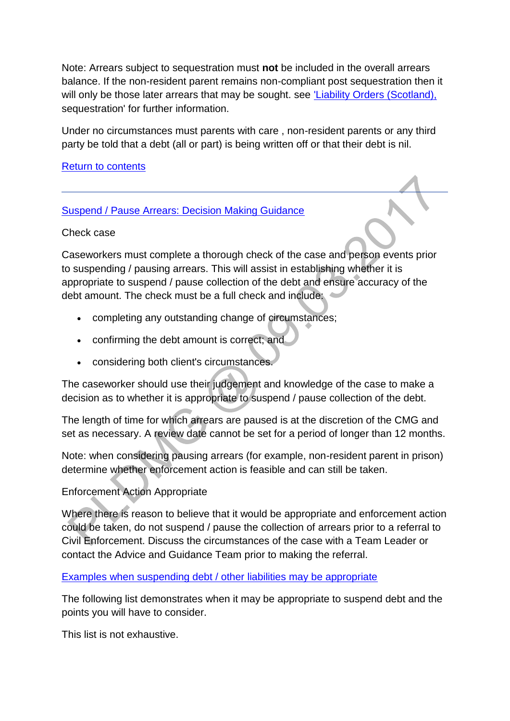Note: Arrears subject to sequestration must **not** be included in the overall arrears balance. If the non-resident parent remains non-compliant post sequestration then it will only be those later arrears that may be sought. see 'Liability Orders (Scotland), sequestration' for further information.

Under no circumstances must parents with care , non-resident parents or any third party be told that a debt (all or part) is being written off or that their debt is nil.

### [Return to contents](http://np-cmg-sharepoint.link2.gpn.gov.uk/sites/policy-law-and-decision-making-guidance/Pages/Suspending%20Debt/Suspending-Debt.aspx#Suspend/Pause%20Arrears%3a%20Contents)

### [Suspend / Pause Arrears: Decision Making Guidance](http://np-cmg-sharepoint.link2.gpn.gov.uk/sites/policy-law-and-decision-making-guidance/Pages/Suspending%20Debt/Suspending-Debt.aspx?ControlMode=Edit&DisplayMode=Design)

Check case

Caseworkers must complete a thorough check of the case and person events prior to suspending / pausing arrears. This will assist in establishing whether it is appropriate to suspend / pause collection of the debt and ensure accuracy of the debt amount. The check must be a full check and include:

- completing any outstanding change of circumstances;
- confirming the debt amount is correct; and
- considering both client's circumstances.

The caseworker should use their judgement and knowledge of the case to make a decision as to whether it is appropriate to suspend / pause collection of the debt.

The length of time for which arrears are paused is at the discretion of the CMG and set as necessary. A review date cannot be set for a period of longer than 12 months.

Note: when considering pausing arrears (for example, non-resident parent in prison) determine whether enforcement action is feasible and can still be taken.

## Enforcement Action Appropriate

Where there is reason to believe that it would be appropriate and enforcement action could be taken, do not suspend / pause the collection of arrears prior to a referral to Civil Enforcement. Discuss the circumstances of the case with a Team Leader or contact the Advice and Guidance Team prior to making the referral.

#### [Examples when suspending debt / other liabilities may be appropriate](http://np-cmg-sharepoint.link2.gpn.gov.uk/sites/policy-law-and-decision-making-guidance/Pages/Suspending%20Debt/)

The following list demonstrates when it may be appropriate to suspend debt and the points you will have to consider.

This list is not exhaustive.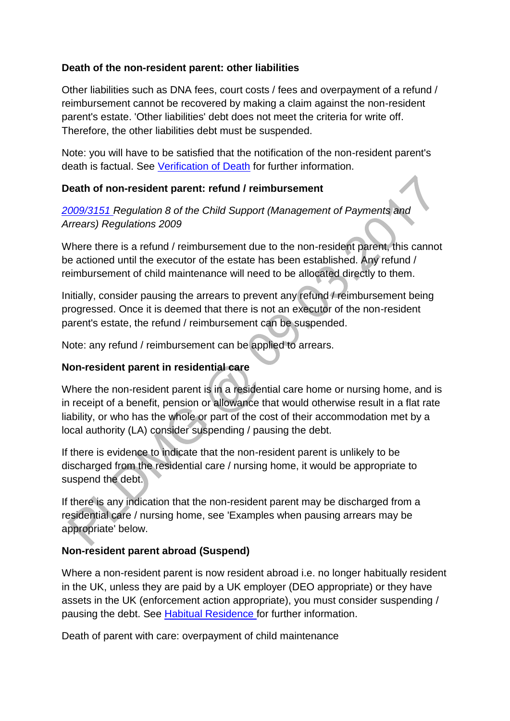## **Death of the non-resident parent: other liabilities**

Other liabilities such as DNA fees, court costs / fees and overpayment of a refund / reimbursement cannot be recovered by making a claim against the non-resident parent's estate. 'Other liabilities' debt does not meet the criteria for write off. Therefore, the other liabilities debt must be suspended.

Note: you will have to be satisfied that the notification of the non-resident parent's death is factual. See [Verification of Death](http://np-cmg-sharepoint.link2.gpn.gov.uk/sites/policy-law-and-decision-making-guidance/Pages/Verification-of-Death.aspx) for further information.

# **Death of non-resident parent: refund / reimbursement**

*[2009/3151 R](http://www.legislation.gov.uk/uksi/2009/3151/contents)egulation 8 of the Child Support (Management of Payments and Arrears) Regulations 2009*

Where there is a refund / reimbursement due to the non-resident parent, this cannot be actioned until the executor of the estate has been established. Any refund / reimbursement of child maintenance will need to be allocated directly to them.

Initially, consider pausing the arrears to prevent any refund / reimbursement being progressed. Once it is deemed that there is not an executor of the non-resident parent's estate, the refund / reimbursement can be suspended.

Note: any refund / reimbursement can be applied to arrears.

## **Non-resident parent in residential care**

Where the non-resident parent is in a residential care home or nursing home, and is in receipt of a benefit, pension or allowance that would otherwise result in a flat rate liability, or who has the whole or part of the cost of their accommodation met by a local authority (LA) consider suspending / pausing the debt.

If there is evidence to indicate that the non-resident parent is unlikely to be discharged from the residential care / nursing home, it would be appropriate to suspend the debt.

If there is any indication that the non-resident parent may be discharged from a residential care / nursing home, see 'Examples when pausing arrears may be appropriate' below.

# **Non-resident parent abroad (Suspend)**

Where a non-resident parent is now resident abroad i.e. no longer habitually resident in the UK, unless they are paid by a UK employer (DEO appropriate) or they have assets in the UK (enforcement action appropriate), you must consider suspending / pausing the debt. See [Habitual Residence f](http://np-cmg-sharepoint.link2.gpn.gov.uk/sites/policy-law-and-decision-making-guidance/Pages/Applications/Applications.aspx)or further information.

Death of parent with care: overpayment of child maintenance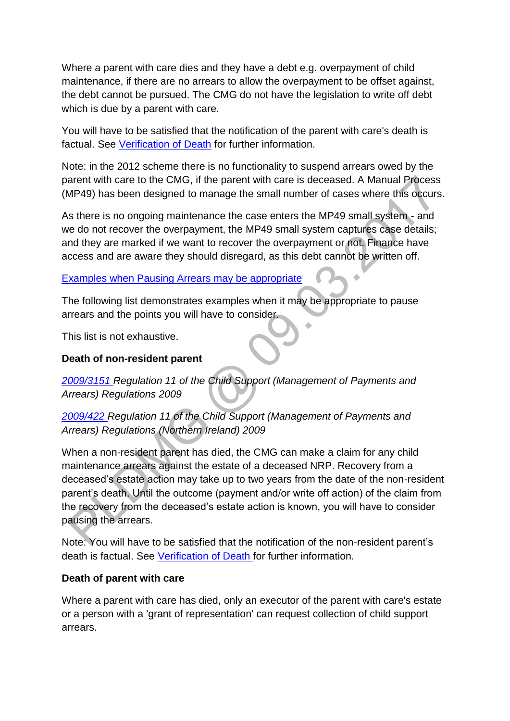Where a parent with care dies and they have a debt e.g. overpayment of child maintenance, if there are no arrears to allow the overpayment to be offset against, the debt cannot be pursued. The CMG do not have the legislation to write off debt which is due by a parent with care.

You will have to be satisfied that the notification of the parent with care's death is factual. See [Verification of Death](http://np-cmg-sharepoint.link2.gpn.gov.uk/sites/policy-law-and-decision-making-guidance/Pages/Verification-of-Death.aspx) for further information.

Note: in the 2012 scheme there is no functionality to suspend arrears owed by the parent with care to the CMG, if the parent with care is deceased. A Manual Process (MP49) has been designed to manage the small number of cases where this occurs.

As there is no ongoing maintenance the case enters the MP49 small system - and we do not recover the overpayment, the MP49 small system captures case details; and they are marked if we want to recover the overpayment or not. Finance have access and are aware they should disregard, as this debt cannot be written off.

Ä

## Examples when [Pausing Arrears may be appropriate](http://np-cmg-sharepoint.link2.gpn.gov.uk/sites/policy-law-and-decision-making-guidance/Pages/Suspending%20Debt/)

The following list demonstrates examples when it may be appropriate to pause arrears and the points you will have to consider.

This list is not exhaustive.

## **Death of non-resident parent**

*[2009/3151 R](http://www.legislation.gov.uk/uksi/2009/3151/contents)egulation 11 of the Child Support (Management of Payments and Arrears) Regulations 2009*

*[2009/422 R](http://www.legislation.gov.uk/nisr/2009/422/contents/made)egulation 11 of the Child Support (Management of Payments and Arrears) Regulations (Northern Ireland) 2009*

When a non-resident parent has died, the CMG can make a claim for any child maintenance arrears against the estate of a deceased NRP. Recovery from a deceased's estate action may take up to two years from the date of the non-resident parent's death. Until the outcome (payment and/or write off action) of the claim from the recovery from the deceased's estate action is known, you will have to consider pausing the arrears.

Note: You will have to be satisfied that the notification of the non-resident parent's death is factual. See [Verification of Death f](http://np-cmg-sharepoint.link2.gpn.gov.uk/sites/policy-law-and-decision-making-guidance/Pages/Verification-of-Death.aspx)or further information.

## **Death of parent with care**

Where a parent with care has died, only an executor of the parent with care's estate or a person with a 'grant of representation' can request collection of child support arrears.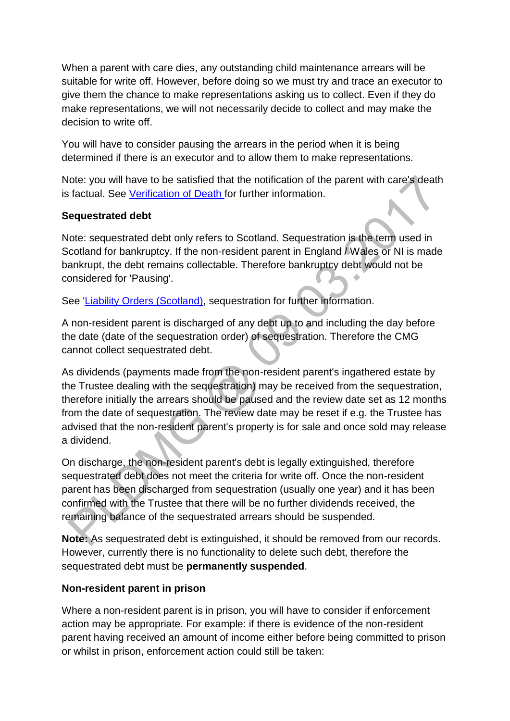When a parent with care dies, any outstanding child maintenance arrears will be suitable for write off. However, before doing so we must try and trace an executor to give them the chance to make representations asking us to collect. Even if they do make representations, we will not necessarily decide to collect and may make the decision to write off.

You will have to consider pausing the arrears in the period when it is being determined if there is an executor and to allow them to make representations.

Note: you will have to be satisfied that the notification of the parent with care's death is factual. See [Verification of Death f](http://np-cmg-sharepoint.link2.gpn.gov.uk/sites/policy-law-and-decision-making-guidance/Pages/Verification-of-Death.aspx)or further information.

## **Sequestrated debt**

Note: sequestrated debt only refers to Scotland. Sequestration is the term used in Scotland for bankruptcy. If the non-resident parent in England / Wales or NI is made bankrupt, the debt remains collectable. Therefore bankruptcy debt would not be considered for 'Pausing'.

See ['Liability Orders \(Scotland\),](http://np-cmg-sharepoint.link2.gpn.gov.uk/sites/policy-law-and-decision-making-guidance/Pages/Legal%20Enforcement%20-%20Scotland/Liability-Orders-%28Scotland%29.aspx) sequestration for further information.

A non-resident parent is discharged of any debt up to and including the day before the date (date of the sequestration order) of sequestration. Therefore the CMG cannot collect sequestrated debt.

As dividends (payments made from the non-resident parent's ingathered estate by the Trustee dealing with the sequestration) may be received from the sequestration, therefore initially the arrears should be paused and the review date set as 12 months from the date of sequestration. The review date may be reset if e.g. the Trustee has advised that the non-resident parent's property is for sale and once sold may release a dividend.

On discharge, the non-resident parent's debt is legally extinguished, therefore sequestrated debt does not meet the criteria for write off. Once the non-resident parent has been discharged from sequestration (usually one year) and it has been confirmed with the Trustee that there will be no further dividends received, the remaining balance of the sequestrated arrears should be suspended.

**Note:** As sequestrated debt is extinguished, it should be removed from our records. However, currently there is no functionality to delete such debt, therefore the sequestrated debt must be **permanently suspended**.

# **Non-resident parent in prison**

Where a non-resident parent is in prison, you will have to consider if enforcement action may be appropriate. For example: if there is evidence of the non-resident parent having received an amount of income either before being committed to prison or whilst in prison, enforcement action could still be taken: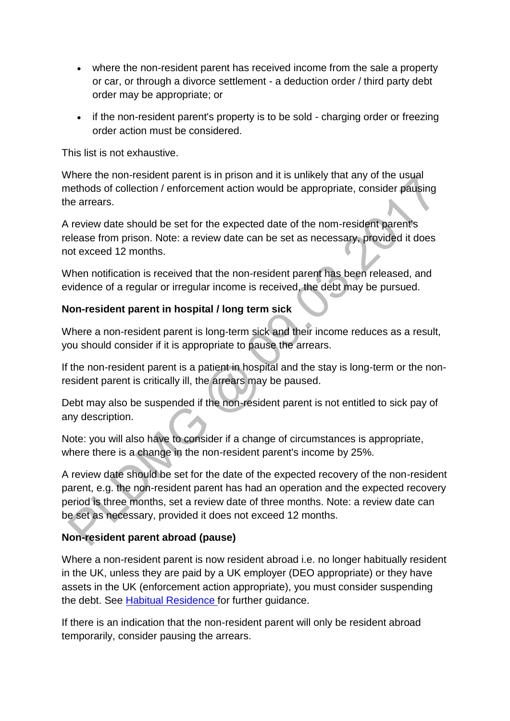- where the non-resident parent has received income from the sale a property or car, or through a divorce settlement - a deduction order / third party debt order may be appropriate; or
- if the non-resident parent's property is to be sold charging order or freezing order action must be considered.

This list is not exhaustive.

Where the non-resident parent is in prison and it is unlikely that any of the usual methods of collection / enforcement action would be appropriate, consider pausing the arrears.

A review date should be set for the expected date of the nom-resident parent's release from prison. Note: a review date can be set as necessary, provided it does not exceed 12 months.

When notification is received that the non-resident parent has been released, and evidence of a regular or irregular income is received, the debt may be pursued.

## **Non-resident parent in hospital / long term sick**

Where a non-resident parent is long-term sick and their income reduces as a result, you should consider if it is appropriate to pause the arrears.

If the non-resident parent is a patient in hospital and the stay is long-term or the nonresident parent is critically ill, the arrears may be paused.

Debt may also be suspended if the non-resident parent is not entitled to sick pay of any description.

Note: you will also have to consider if a change of circumstances is appropriate, where there is a change in the non-resident parent's income by 25%.

A review date should be set for the date of the expected recovery of the non-resident parent, e.g. the non-resident parent has had an operation and the expected recovery period is three months, set a review date of three months. Note: a review date can be set as necessary, provided it does not exceed 12 months.

# **Non-resident parent abroad (pause)**

Where a non-resident parent is now resident abroad i.e. no longer habitually resident in the UK, unless they are paid by a UK employer (DEO appropriate) or they have assets in the UK (enforcement action appropriate), you must consider suspending the debt. See [Habitual Residence f](http://np-cmg-sharepoint.link2.gpn.gov.uk/sites/policy-law-and-decision-making-guidance/Pages/Applications/Applications.aspx)or further guidance.

If there is an indication that the non-resident parent will only be resident abroad temporarily, consider pausing the arrears.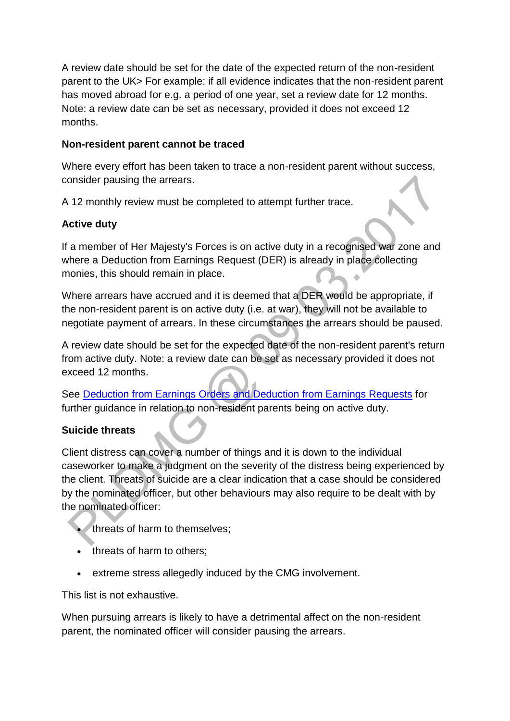A review date should be set for the date of the expected return of the non-resident parent to the UK> For example: if all evidence indicates that the non-resident parent has moved abroad for e.g. a period of one year, set a review date for 12 months. Note: a review date can be set as necessary, provided it does not exceed 12 months.

## **Non-resident parent cannot be traced**

Where every effort has been taken to trace a non-resident parent without success, consider pausing the arrears.

A 12 monthly review must be completed to attempt further trace.

## **Active duty**

If a member of Her Majesty's Forces is on active duty in a recognised war zone and where a Deduction from Earnings Request (DER) is already in place collecting monies, this should remain in place.

Where arrears have accrued and it is deemed that a DER would be appropriate, if the non-resident parent is on active duty (i.e. at war), they will not be available to negotiate payment of arrears. In these circumstances the arrears should be paused.

A review date should be set for the expected date of the non-resident parent's return from active duty. Note: a review date can be set as necessary provided it does not exceed 12 months.

See [Deduction from Earnings Orders and Deduction from Earnings Requests](http://np-cmg-sharepoint.link2.gpn.gov.uk/sites/policy-law-and-decision-making-guidance/Pages/Arrears%20MOC/DEOs-and-DERs-DMG.aspx) for further guidance in relation to non-resident parents being on active duty.

# **Suicide threats**

Client distress can cover a number of things and it is down to the individual caseworker to make a judgment on the severity of the distress being experienced by the client. Threats of suicide are a clear indication that a case should be considered by the nominated officer, but other behaviours may also require to be dealt with by the nominated officer:

- threats of harm to themselves;
- threats of harm to others;
- extreme stress allegedly induced by the CMG involvement.

This list is not exhaustive.

When pursuing arrears is likely to have a detrimental affect on the non-resident parent, the nominated officer will consider pausing the arrears.